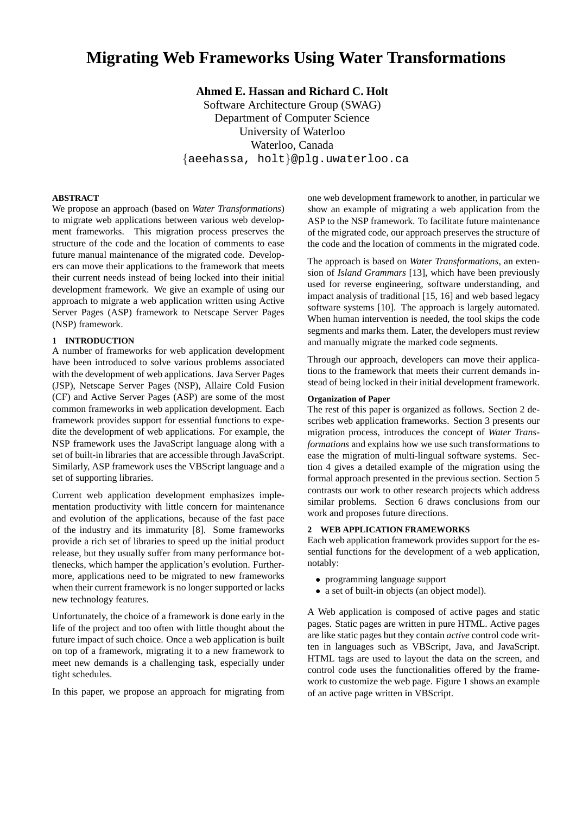# **Migrating Web Frameworks Using Water Transformations**

**Ahmed E. Hassan and Richard C. Holt** Software Architecture Group (SWAG) Department of Computer Science University of Waterloo Waterloo, Canada {aeehassa, holt}@plg.uwaterloo.ca

# **ABSTRACT**

We propose an approach (based on *Water Transformations*) to migrate web applications between various web development frameworks. This migration process preserves the structure of the code and the location of comments to ease future manual maintenance of the migrated code. Developers can move their applications to the framework that meets their current needs instead of being locked into their initial development framework. We give an example of using our approach to migrate a web application written using Active Server Pages (ASP) framework to Netscape Server Pages (NSP) framework.

## **1 INTRODUCTION**

A number of frameworks for web application development have been introduced to solve various problems associated with the development of web applications. Java Server Pages (JSP), Netscape Server Pages (NSP), Allaire Cold Fusion (CF) and Active Server Pages (ASP) are some of the most common frameworks in web application development. Each framework provides support for essential functions to expedite the development of web applications. For example, the NSP framework uses the JavaScript language along with a set of built-in libraries that are accessible through JavaScript. Similarly, ASP framework uses the VBScript language and a set of supporting libraries.

Current web application development emphasizes implementation productivity with little concern for maintenance and evolution of the applications, because of the fast pace of the industry and its immaturity [8]. Some frameworks provide a rich set of libraries to speed up the initial product release, but they usually suffer from many performance bottlenecks, which hamper the application's evolution. Furthermore, applications need to be migrated to new frameworks when their current framework is no longer supported or lacks new technology features.

Unfortunately, the choice of a framework is done early in the life of the project and too often with little thought about the future impact of such choice. Once a web application is built on top of a framework, migrating it to a new framework to meet new demands is a challenging task, especially under tight schedules.

In this paper, we propose an approach for migrating from

one web development framework to another, in particular we show an example of migrating a web application from the ASP to the NSP framework. To facilitate future maintenance of the migrated code, our approach preserves the structure of the code and the location of comments in the migrated code.

The approach is based on *Water Transformations*, an extension of *Island Grammars* [13], which have been previously used for reverse engineering, software understanding, and impact analysis of traditional [15, 16] and web based legacy software systems [10]. The approach is largely automated. When human intervention is needed, the tool skips the code segments and marks them. Later, the developers must review and manually migrate the marked code segments.

Through our approach, developers can move their applications to the framework that meets their current demands instead of being locked in their initial development framework.

## **Organization of Paper**

The rest of this paper is organized as follows. Section 2 describes web application frameworks. Section 3 presents our migration process, introduces the concept of *Water Transformations* and explains how we use such transformations to ease the migration of multi-lingual software systems. Section 4 gives a detailed example of the migration using the formal approach presented in the previous section. Section 5 contrasts our work to other research projects which address similar problems. Section 6 draws conclusions from our work and proposes future directions.

# **2 WEB APPLICATION FRAMEWORKS**

Each web application framework provides support for the essential functions for the development of a web application, notably:

- programming language support
- a set of built-in objects (an object model).

A Web application is composed of active pages and static pages. Static pages are written in pure HTML. Active pages are like static pages but they contain *active* control code written in languages such as VBScript, Java, and JavaScript. HTML tags are used to layout the data on the screen, and control code uses the functionalities offered by the framework to customize the web page. Figure 1 shows an example of an active page written in VBScript.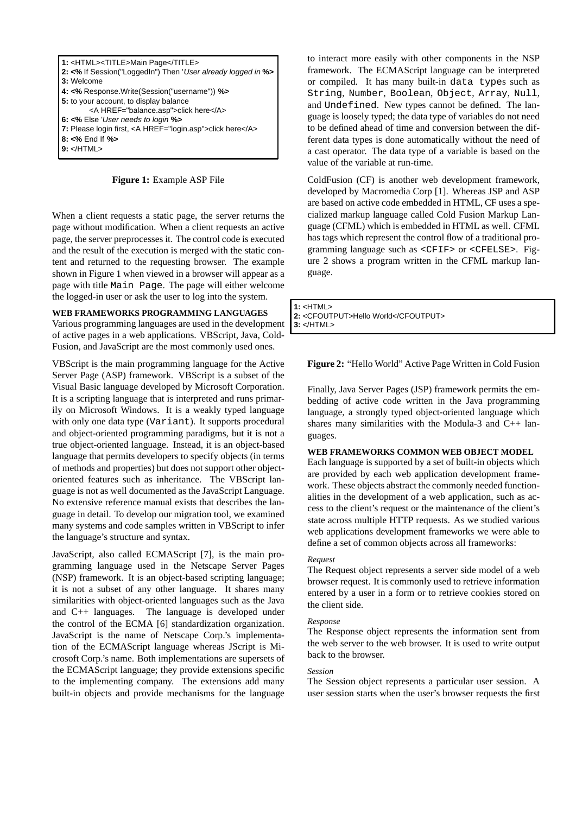

### **Figure 1:** Example ASP File

When a client requests a static page, the server returns the page without modification. When a client requests an active page, the server preprocesses it. The control code is executed and the result of the execution is merged with the static content and returned to the requesting browser. The example shown in Figure 1 when viewed in a browser will appear as a page with title Main Page. The page will either welcome the logged-in user or ask the user to log into the system.

# **WEB FRAMEWORKS PROGRAMMING LANGUAGES**

Various programming languages are used in the development of active pages in a web applications. VBScript, Java, Cold-Fusion, and JavaScript are the most commonly used ones.

VBScript is the main programming language for the Active Server Page (ASP) framework. VBScript is a subset of the Visual Basic language developed by Microsoft Corporation. It is a scripting language that is interpreted and runs primarily on Microsoft Windows. It is a weakly typed language with only one data type (Variant). It supports procedural and object-oriented programming paradigms, but it is not a true object-oriented language. Instead, it is an object-based language that permits developers to specify objects (in terms of methods and properties) but does not support other objectoriented features such as inheritance. The VBScript language is not as well documented as the JavaScript Language. No extensive reference manual exists that describes the language in detail. To develop our migration tool, we examined many systems and code samples written in VBScript to infer the language's structure and syntax.

JavaScript, also called ECMAScript [7], is the main programming language used in the Netscape Server Pages (NSP) framework. It is an object-based scripting language; it is not a subset of any other language. It shares many similarities with object-oriented languages such as the Java and C++ languages. The language is developed under the control of the ECMA [6] standardization organization. JavaScript is the name of Netscape Corp.'s implementation of the ECMAScript language whereas JScript is Microsoft Corp.'s name. Both implementations are supersets of the ECMAScript language; they provide extensions specific to the implementing company. The extensions add many built-in objects and provide mechanisms for the language to interact more easily with other components in the NSP framework. The ECMAScript language can be interpreted or compiled. It has many built-in data types such as String, Number, Boolean, Object, Array, Null, and Undefined. New types cannot be defined. The language is loosely typed; the data type of variables do not need to be defined ahead of time and conversion between the different data types is done automatically without the need of a cast operator. The data type of a variable is based on the value of the variable at run-time.

ColdFusion (CF) is another web development framework, developed by Macromedia Corp [1]. Whereas JSP and ASP are based on active code embedded in HTML, CF uses a specialized markup language called Cold Fusion Markup Language (CFML) which is embedded in HTML as well. CFML has tags which represent the control flow of a traditional programming language such as <CFIF> or <CFELSE>. Figure 2 shows a program written in the CFML markup language.

**1:** <HTML> **2:** <CFOUTPUT>Hello World</CFOUTPUT> **3:** </HTML>

**Figure 2:** "Hello World" Active Page Written in Cold Fusion

Finally, Java Server Pages (JSP) framework permits the embedding of active code written in the Java programming language, a strongly typed object-oriented language which shares many similarities with the Modula-3 and C++ languages.

## **WEB FRAMEWORKS COMMON WEB OBJECT MODEL**

Each language is supported by a set of built-in objects which are provided by each web application development framework. These objects abstract the commonly needed functionalities in the development of a web application, such as access to the client's request or the maintenance of the client's state across multiple HTTP requests. As we studied various web applications development frameworks we were able to define a set of common objects across all frameworks:

#### *Request*

The Request object represents a server side model of a web browser request. It is commonly used to retrieve information entered by a user in a form or to retrieve cookies stored on the client side.

#### *Response*

The Response object represents the information sent from the web server to the web browser. It is used to write output back to the browser.

#### *Session*

The Session object represents a particular user session. A user session starts when the user's browser requests the first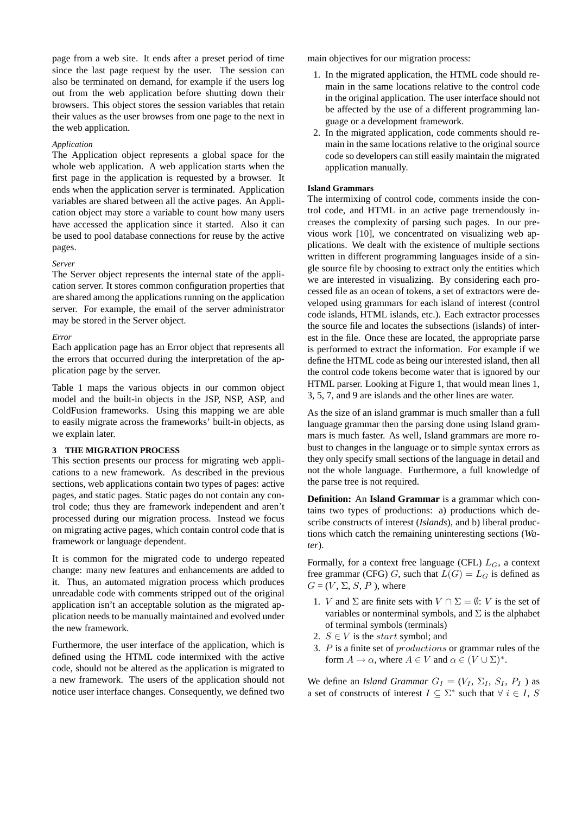page from a web site. It ends after a preset period of time since the last page request by the user. The session can also be terminated on demand, for example if the users log out from the web application before shutting down their browsers. This object stores the session variables that retain their values as the user browses from one page to the next in the web application.

# *Application*

The Application object represents a global space for the whole web application. A web application starts when the first page in the application is requested by a browser. It ends when the application server is terminated. Application variables are shared between all the active pages. An Application object may store a variable to count how many users have accessed the application since it started. Also it can be used to pool database connections for reuse by the active pages.

# *Server*

The Server object represents the internal state of the application server. It stores common configuration properties that are shared among the applications running on the application server. For example, the email of the server administrator may be stored in the Server object.

# *Error*

Each application page has an Error object that represents all the errors that occurred during the interpretation of the application page by the server.

Table 1 maps the various objects in our common object model and the built-in objects in the JSP, NSP, ASP, and ColdFusion frameworks. Using this mapping we are able to easily migrate across the frameworks' built-in objects, as we explain later.

# **3 THE MIGRATION PROCESS**

This section presents our process for migrating web applications to a new framework. As described in the previous sections, web applications contain two types of pages: active pages, and static pages. Static pages do not contain any control code; thus they are framework independent and aren't processed during our migration process. Instead we focus on migrating active pages, which contain control code that is framework or language dependent.

It is common for the migrated code to undergo repeated change: many new features and enhancements are added to it. Thus, an automated migration process which produces unreadable code with comments stripped out of the original application isn't an acceptable solution as the migrated application needs to be manually maintained and evolved under the new framework.

Furthermore, the user interface of the application, which is defined using the HTML code intermixed with the active code, should not be altered as the application is migrated to a new framework. The users of the application should not notice user interface changes. Consequently, we defined two main objectives for our migration process:

- 1. In the migrated application, the HTML code should remain in the same locations relative to the control code in the original application. The user interface should not be affected by the use of a different programming language or a development framework.
- 2. In the migrated application, code comments should remain in the same locations relative to the original source code so developers can still easily maintain the migrated application manually.

# **Island Grammars**

The intermixing of control code, comments inside the control code, and HTML in an active page tremendously increases the complexity of parsing such pages. In our previous work [10], we concentrated on visualizing web applications. We dealt with the existence of multiple sections written in different programming languages inside of a single source file by choosing to extract only the entities which we are interested in visualizing. By considering each processed file as an ocean of tokens, a set of extractors were developed using grammars for each island of interest (control code islands, HTML islands, etc.). Each extractor processes the source file and locates the subsections (islands) of interest in the file. Once these are located, the appropriate parse is performed to extract the information. For example if we define the HTML code as being our interested island, then all the control code tokens become water that is ignored by our HTML parser. Looking at Figure 1, that would mean lines 1, 3, 5, 7, and 9 are islands and the other lines are water.

As the size of an island grammar is much smaller than a full language grammar then the parsing done using Island grammars is much faster. As well, Island grammars are more robust to changes in the language or to simple syntax errors as they only specify small sections of the language in detail and not the whole language. Furthermore, a full knowledge of the parse tree is not required.

**Definition:** An **Island Grammar** is a grammar which contains two types of productions: a) productions which describe constructs of interest (*Islands*), and b) liberal productions which catch the remaining uninteresting sections (*Water*).

Formally, for a context free language (CFL)  $L_G$ , a context free grammar (CFG) G, such that  $L(G) = L_G$  is defined as  $G = (V, \Sigma, S, P)$ , where

- 1. V and  $\Sigma$  are finite sets with  $V \cap \Sigma = \emptyset$ : V is the set of variables or nonterminal symbols, and  $\Sigma$  is the alphabet of terminal symbols (terminals)
- 2.  $S \in V$  is the *start* symbol; and
- 3. P is a finite set of productions or grammar rules of the form  $A \to \alpha$ , where  $A \in V$  and  $\alpha \in (V \cup \Sigma)^*$ .

We define an *Island Grammar*  $G_I = (V_I, \Sigma_I, S_I, P_I)$  as a set of constructs of interest  $I \subseteq \Sigma^*$  such that  $\forall i \in I$ , S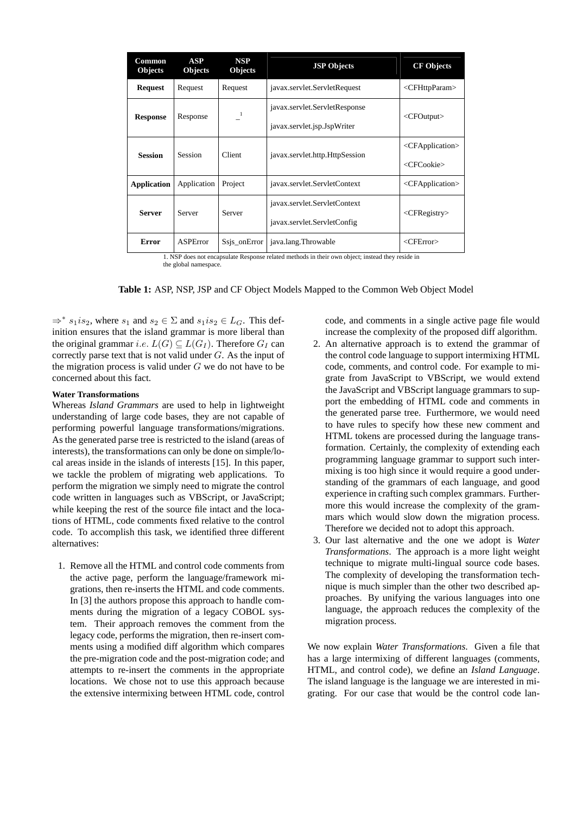| <b>Common</b><br><b>Objects</b> | ASP<br>Objects | <b>NSP</b><br>Objects | <b>JSP</b> Objects                                                                               | <b>CF</b> Objects               |
|---------------------------------|----------------|-----------------------|--------------------------------------------------------------------------------------------------|---------------------------------|
| <b>Request</b>                  | Request        | Request               | javax.servlet.ServletRequest                                                                     | <cfhttpparam></cfhttpparam>     |
| <b>Response</b>                 | Response       | 1                     | javax.servlet.ServletResponse                                                                    | $\langle$ CFOutput $\rangle$    |
|                                 |                |                       | javax.servlet.jsp.JspWriter                                                                      |                                 |
| <b>Session</b>                  | <b>Session</b> | Client                | javax.servlet.http.HttpSession                                                                   | <cfapplication></cfapplication> |
|                                 |                |                       |                                                                                                  | <cfcookie></cfcookie>           |
| <b>Application</b>              | Application    | Project               | javax.servlet.ServletContext                                                                     | <cfapplication></cfapplication> |
| <b>Server</b>                   | Server         | Server                | javax.servlet.ServletContext                                                                     | <cfregistry></cfregistry>       |
|                                 |                |                       | javax.servlet.ServletConfig                                                                      |                                 |
| Error                           | ASPError       | Ssjs_onError          | java.lang.Throwable                                                                              | <cferror></cferror>             |
|                                 |                |                       | 1. NSP does not encapsulate Response related methods in their own object; instead they reside in |                                 |

the global namespace.

**Table 1:** ASP, NSP, JSP and CF Object Models Mapped to the Common Web Object Model

 $\Rightarrow$  \*  $s_1$ *is*<sub>2</sub>, where  $s_1$  and  $s_2 \in \Sigma$  and  $s_1$ *is*<sub>2</sub>  $\in L_G$ . This definition ensures that the island grammar is more liberal than the original grammar *i.e.*  $L(G) \subseteq L(G_I)$ . Therefore  $G_I$  can correctly parse text that is not valid under G. As the input of the migration process is valid under  $G$  we do not have to be concerned about this fact.

#### **Water Transformations**

Whereas *Island Grammars* are used to help in lightweight understanding of large code bases, they are not capable of performing powerful language transformations/migrations. As the generated parse tree is restricted to the island (areas of interests), the transformations can only be done on simple/local areas inside in the islands of interests [15]. In this paper, we tackle the problem of migrating web applications. To perform the migration we simply need to migrate the control code written in languages such as VBScript, or JavaScript; while keeping the rest of the source file intact and the locations of HTML, code comments fixed relative to the control code. To accomplish this task, we identified three different alternatives:

1. Remove all the HTML and control code comments from the active page, perform the language/framework migrations, then re-inserts the HTML and code comments. In [3] the authors propose this approach to handle comments during the migration of a legacy COBOL system. Their approach removes the comment from the legacy code, performs the migration, then re-insert comments using a modified diff algorithm which compares the pre-migration code and the post-migration code; and attempts to re-insert the comments in the appropriate locations. We chose not to use this approach because the extensive intermixing between HTML code, control

code, and comments in a single active page file would increase the complexity of the proposed diff algorithm.

- 2. An alternative approach is to extend the grammar of the control code language to support intermixing HTML code, comments, and control code. For example to migrate from JavaScript to VBScript, we would extend the JavaScript and VBScript language grammars to support the embedding of HTML code and comments in the generated parse tree. Furthermore, we would need to have rules to specify how these new comment and HTML tokens are processed during the language transformation. Certainly, the complexity of extending each programming language grammar to support such intermixing is too high since it would require a good understanding of the grammars of each language, and good experience in crafting such complex grammars. Furthermore this would increase the complexity of the grammars which would slow down the migration process. Therefore we decided not to adopt this approach.
- 3. Our last alternative and the one we adopt is *Water Transformations*. The approach is a more light weight technique to migrate multi-lingual source code bases. The complexity of developing the transformation technique is much simpler than the other two described approaches. By unifying the various languages into one language, the approach reduces the complexity of the migration process.

We now explain *Water Transformations*. Given a file that has a large intermixing of different languages (comments, HTML, and control code), we define an *Island Language*. The island language is the language we are interested in migrating. For our case that would be the control code lan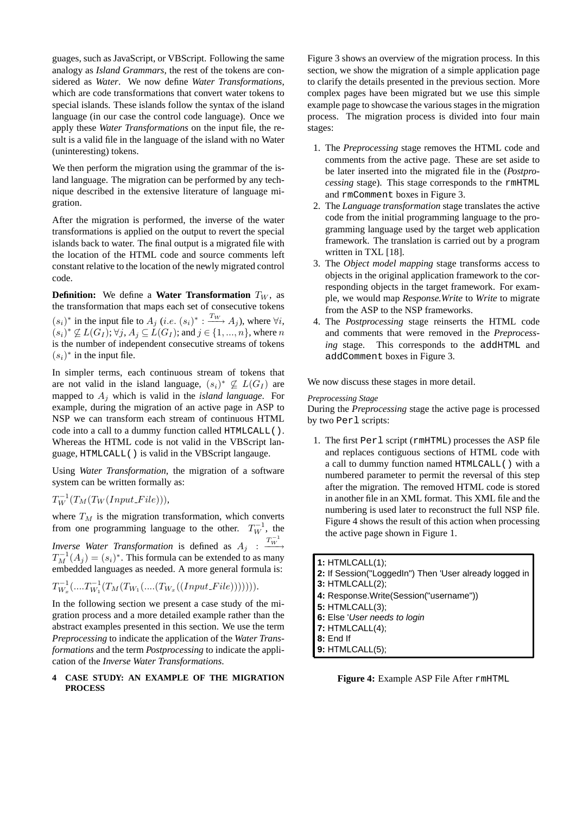guages, such as JavaScript, or VBScript. Following the same analogy as *Island Grammars*, the rest of the tokens are considered as *Water*. We now define *Water Transformations*, which are code transformations that convert water tokens to special islands. These islands follow the syntax of the island language (in our case the control code language). Once we apply these *Water Transformations* on the input file, the result is a valid file in the language of the island with no Water (uninteresting) tokens.

We then perform the migration using the grammar of the island language. The migration can be performed by any technique described in the extensive literature of language migration.

After the migration is performed, the inverse of the water transformations is applied on the output to revert the special islands back to water. The final output is a migrated file with the location of the HTML code and source comments left constant relative to the location of the newly migrated control code.

**Definition:** We define a **Water Transformation**  $T_W$ , as the transformation that maps each set of consecutive tokens

 $(s_i)^*$  in the input file to  $A_j$   $(i.e.$   $(s_i)^* : \frac{Tw}{X_j} A_j$ , where  $\forall i$ ,  $(s_i)^* \nsubseteq L(G_I); \forall j, A_j \subseteq L(G_I);$  and  $j \in \{1, ..., n\}$ , where n is the number of independent consecutive streams of tokens  $(s_i)^*$  in the input file.

In simpler terms, each continuous stream of tokens that are not valid in the island language,  $(s_i)^* \nsubseteq L(G_I)$  are mapped to A<sup>j</sup> which is valid in the *island language*. For example, during the migration of an active page in ASP to NSP we can transform each stream of continuous HTML code into a call to a dummy function called HTMLCALL(). Whereas the HTML code is not valid in the VBScript language, HTMLCALL() is valid in the VBScript langauge.

Using *Water Transformation*, the migration of a software system can be written formally as:

 $T_W^{-1}(T_M(T_W(Input\text{.File}))),$ 

where  $T_M$  is the migration transformation, which converts from one programming language to the other.  $T_W^{-1}$ , the

*Inverse Water Transformation* is defined as  $A_j$  :  $\frac{T_{W}^{-1}}{W}$  $T_M^{-1}(A_j) = (s_i)^*$ . This formula can be extended to as many embedded languages as needed. A more general formula is:

$$
T_{W_x}^{-1}(\ldots T_{W_1}^{-1}(T_M(T_{W_1}(\ldots(T_{W_x}((Input\_File)))))))).
$$

In the following section we present a case study of the migration process and a more detailed example rather than the abstract examples presented in this section. We use the term *Preprocessing* to indicate the application of the *Water Transformations* and the term *Postprocessing* to indicate the application of the *Inverse Water Transformations*.

**4 CASE STUDY: AN EXAMPLE OF THE MIGRATION PROCESS**

Figure 3 shows an overview of the migration process. In this section, we show the migration of a simple application page to clarify the details presented in the previous section. More complex pages have been migrated but we use this simple example page to showcase the various stages in the migration process. The migration process is divided into four main stages:

- 1. The *Preprocessing* stage removes the HTML code and comments from the active page. These are set aside to be later inserted into the migrated file in the (*Postprocessing* stage). This stage corresponds to the rmHTML and rmComment boxes in Figure 3.
- 2. The *Language transformation* stage translates the active code from the initial programming language to the programming language used by the target web application framework. The translation is carried out by a program written in TXL [18].
- 3. The *Object model mapping* stage transforms access to objects in the original application framework to the corresponding objects in the target framework. For example, we would map *Response.Write* to *Write* to migrate from the ASP to the NSP frameworks.
- 4. The *Postprocessing* stage reinserts the HTML code and comments that were removed in the *Preprocessing* stage. This corresponds to the addHTML and addComment boxes in Figure 3.

We now discuss these stages in more detail.

# *Preprocessing Stage*

During the *Preprocessing* stage the active page is processed by two Perl scripts:

1. The first Perl script (rmHTML) processes the ASP file and replaces contiguous sections of HTML code with a call to dummy function named HTMLCALL() with a numbered parameter to permit the reversal of this step after the migration. The removed HTML code is stored in another file in an XML format. This XML file and the numbering is used later to reconstruct the full NSP file. Figure 4 shows the result of this action when processing the active page shown in Figure 1.

| 1: HTMLCALL(1);                                        |
|--------------------------------------------------------|
| 2: If Session("LoggedIn") Then 'User already logged in |
| $3:$ HTMLCALL $(2);$                                   |
| 4: Response. Write (Session ("username"))              |
| $5:$ HTMLCALL $(3)$ ;                                  |
| 6: Else 'User needs to login                           |
| 7: HTMLCALL(4);                                        |
| $8:$ End If                                            |
| $9:$ HTMLCALL $(5);$                                   |

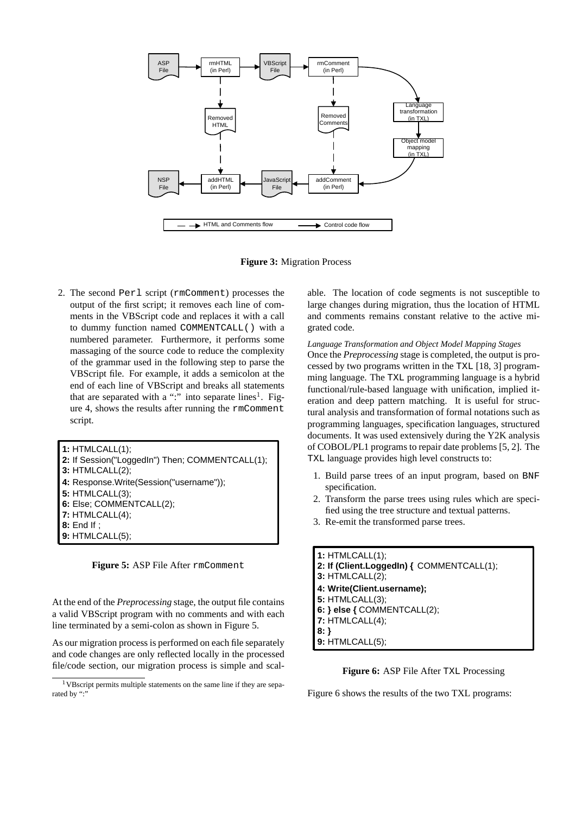

**Figure 3:** Migration Process

2. The second Perl script (rmComment) processes the output of the first script; it removes each line of comments in the VBScript code and replaces it with a call to dummy function named COMMENTCALL() with a numbered parameter. Furthermore, it performs some massaging of the source code to reduce the complexity of the grammar used in the following step to parse the VBScript file. For example, it adds a semicolon at the end of each line of VBScript and breaks all statements that are separated with a ":" into separate lines<sup>1</sup>. Figure 4, shows the results after running the rmComment script.

# **1:** HTMLCALL(1); **2:** If Session("LoggedIn") Then; COMMENTCALL(1); **3:** HTMLCALL(2); **4:** Response.Write(Session("username")); **5:** HTMLCALL(3); **6:** Else; COMMENTCALL(2); **7:** HTMLCALL(4); **8:** End If ; **9:** HTMLCALL(5);

**Figure 5:** ASP File After rmComment

At the end of the *Preprocessing* stage, the output file contains a valid VBScript program with no comments and with each line terminated by a semi-colon as shown in Figure 5.

As our migration process is performed on each file separately and code changes are only reflected locally in the processed file/code section, our migration process is simple and scalable. The location of code segments is not susceptible to large changes during migration, thus the location of HTML and comments remains constant relative to the active migrated code.

*Language Transformation and Object Model Mapping Stages* Once the *Preprocessing* stage is completed, the output is processed by two programs written in the TXL [18, 3] programming language. The TXL programming language is a hybrid functional/rule-based language with unification, implied iteration and deep pattern matching. It is useful for structural analysis and transformation of formal notations such as programming languages, specification languages, structured documents. It was used extensively during the Y2K analysis of COBOL/PL1 programs to repair date problems [5, 2]. The TXL language provides high level constructs to:

- 1. Build parse trees of an input program, based on BNF specification.
- 2. Transform the parse trees using rules which are specified using the tree structure and textual patterns.
- 3. Re-emit the transformed parse trees.

| $1:$ HTMLCALL $(1);$                      |
|-------------------------------------------|
| 2: If (Client.LoggedIn) { COMMENTCALL(1); |
| $3:$ HTMLCALL $(2);$                      |
| 4: Write(Client.username);                |
| $5:$ HTMLCALL $(3);$                      |
| 6: } else { COMMENTCALL(2);               |
| $7:$ HTMLCALL $(4);$                      |
| 8: }<br>9: HTMLCALL(5);                   |
|                                           |



Figure 6 shows the results of the two TXL programs:

 $1$ VBscript permits multiple statements on the same line if they are separated by ":"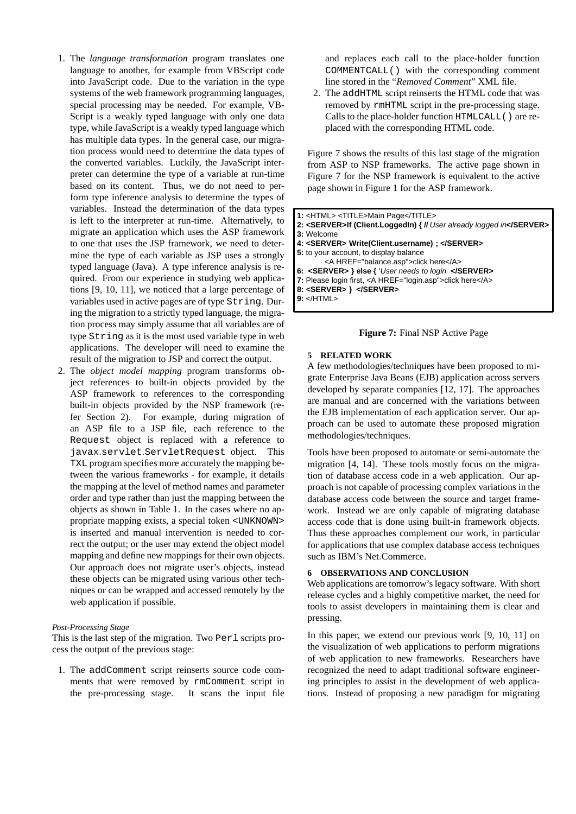- 1. The *language transformation* program translates one language to another, for example from VBScript code into JavaScript code. Due to the variation in the type systems of the web framework programming languages, special processing may be needed. For example, VB-Script is a weakly typed language with only one data type, while JavaScript is a weakly typed language which has multiple data types. In the general case, our migration process would need to determine the data types of the converted variables. Luckily, the JavaScript interpreter can determine the type of a variable at run-time based on its content. Thus, we do not need to perform type inference analysis to determine the types of variables. Instead the determination of the data types is left to the interpreter at run-time. Alternatively, to migrate an application which uses the ASP framework to one that uses the JSP framework, we need to determine the type of each variable as JSP uses a strongly typed language (Java). A type inference analysis is required. From our experience in studying web applications [9, 10, 11], we noticed that a large percentage of variables used in active pages are of type String. During the migration to a strictly typed language, the migration process may simply assume that all variables are of type String as it is the most used variable type in web applications. The developer will need to examine the result of the migration to JSP and correct the output.
- 2. The *object model mapping* program transforms object references to built-in objects provided by the ASP framework to references to the corresponding built-in objects provided by the NSP framework (refer Section 2). For example, during migration of an ASP file to a JSP file, each reference to the Request object is replaced with a reference to javax.servlet.ServletRequest object. This TXL program specifies more accurately the mapping between the various frameworks - for example, it details the mapping at the level of method names and parameter order and type rather than just the mapping between the objects as shown in Table 1. In the cases where no appropriate mapping exists, a special token <UNKNOWN> is inserted and manual intervention is needed to correct the output; or the user may extend the object model mapping and define new mappings for their own objects. Our approach does not migrate user's objects, instead these objects can be migrated using various other techniques or can be wrapped and accessed remotely by the web application if possible.

#### *Post-Processing Stage*

This is the last step of the migration. Two Perl scripts process the output of the previous stage:

1. The addComment script reinserts source code comments that were removed by rmComment script in the pre-processing stage. It scans the input file and replaces each call to the place-holder function COMMENTCALL() with the corresponding comment line stored in the "*Removed Comment*" XML file.

2. The addHTML script reinserts the HTML code that was removed by rmHTML script in the pre-processing stage. Calls to the place-holder function HTMLCALL() are replaced with the corresponding HTML code.

Figure 7 shows the results of this last stage of the migration from ASP to NSP frameworks. The active page shown in Figure 7 for the NSP framework is equivalent to the active page shown in Figure 1 for the ASP framework.

| 1: <html> <title>Main Page</title></html>                            |
|----------------------------------------------------------------------|
| 2: <server>If (Client.LoggedIn) { // User already logged in</server> |
| <b>3:</b> Welcome                                                    |
| 4: <server> Write(Client.username) ; </server>                       |
| 5: to your account, to display balance                               |
| <a href="balance.asp">click here</a>                                 |
| 6: <server> } else { 'User needs to login </server>                  |
| 7: Please login first, <a href="login.asp">click here</a>            |
| 8: <server> } </server>                                              |
| 9:                                                                   |
|                                                                      |

## **Figure 7:** Final NSP Active Page

#### **5 RELATED WORK**

A few methodologies/techniques have been proposed to migrate Enterprise Java Beans (EJB) application across servers developed by separate companies [12, 17]. The approaches are manual and are concerned with the variations between the EJB implementation of each application server. Our approach can be used to automate these proposed migration methodologies/techniques.

Tools have been proposed to automate or semi-automate the migration [4, 14]. These tools mostly focus on the migration of database access code in a web application. Our approach is not capable of processing complex variations in the database access code between the source and target framework. Instead we are only capable of migrating database access code that is done using built-in framework objects. Thus these approaches complement our work, in particular for applications that use complex database access techniques such as IBM's Net.Commerce.

## **6 OBSERVATIONS AND CONCLUSION**

Web applications are tomorrow's legacy software. With short release cycles and a highly competitive market, the need for tools to assist developers in maintaining them is clear and pressing.

In this paper, we extend our previous work [9, 10, 11] on the visualization of web applications to perform migrations of web application to new frameworks. Researchers have recognized the need to adapt traditional software engineering principles to assist in the development of web applications. Instead of proposing a new paradigm for migrating